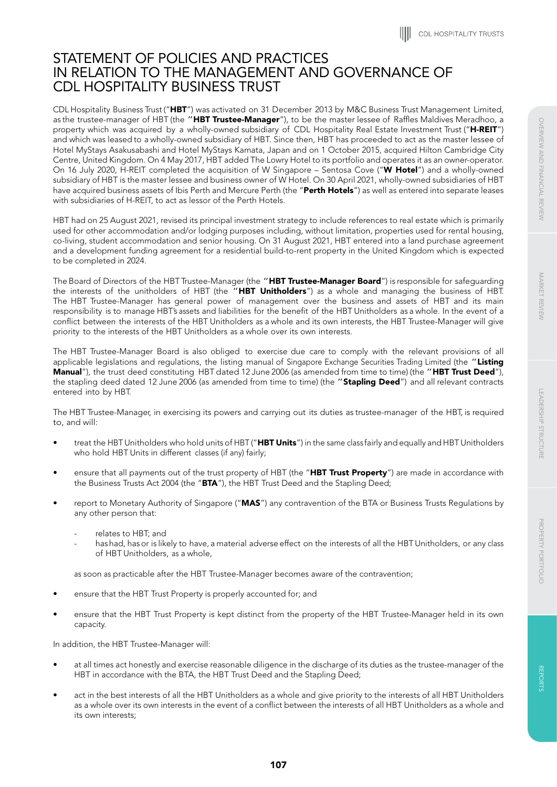CDL Hospitality Business Trust ("HBT") was activated on 31 December 2013 by M&C Business Trust Management Limited, as the trustee-manager of HBT (the "HBT Trustee-Manager"), to be the master lessee of Raffles Maldives Meradhoo, a property which was acquired by a wholly-owned subsidiary of CDL Hospitality Real Estate Investment Trust ("H-REIT") and which was leased to a wholly-owned subsidiary of HBT. Since then, HBT has proceeded to act as the master lessee of Hotel MyStays Asakusabashi and Hotel MyStays Kamata, Japan and on 1 October 2015, acquired Hilton Cambridge City Centre, United Kingdom. On 4 May 2017, HBT added The Lowry Hotel to its portfolio and operates it as an owner-operator. On 16 July 2020, H-REIT completed the acquisition of W Singapore – Sentosa Cove ("W Hotel") and a wholly-owned subsidiary of HBT is the master lessee and business owner of W Hotel. On 30 April 2021, wholly-owned subsidiaries of HBT have acquired business assets of Ibis Perth and Mercure Perth (the "Perth Hotels") as well as entered into separate leases with subsidiaries of H-REIT, to act as lessor of the Perth Hotels.

HBT had on 25 August 2021, revised its principal investment strategy to include references to real estate which is primarily used for other accommodation and/or lodging purposes including, without limitation, properties used for rental housing, co-living, student accommodation and senior housing. On 31 August 2021, HBT entered into a land purchase agreement and a development funding agreement for a residential build-to-rent property in the United Kingdom which is expected to be completed in 2024.

The Board of Directors of the HBT Trustee-Manager (the "HBT Trustee-Manager Board") is responsible for safequarding the interests of the unitholders of HBT (the "HBT Unitholders") as a whole and managing the business of HBT. The HBT Trustee-Manager has general power of management over the business and assets of HBT and its main responsibility is to manage HBT's assets and liabilities for the benefit of the HBT Unitholders as a whole. In the event of a conflict between the interests of the HBT Unitholders as a whole and its own interests, the HBT Trustee-Manager will give priority to the interests of the HBT Unitholders as a whole over its own interests.

The HBT Trustee-Manager Board is also obliged to exercise due care to comply with the relevant provisions of all applicable legislations and regulations, the listing manual of Singapore Exchange Securities Trading Limited (the "Listing Manual"), the trust deed constituting HBT dated 12 June 2006 (as amended from time to time) (the "HBT Trust Deed"), the stapling deed dated 12 June 2006 (as amended from time to time) (the "Stapling Deed") and all relevant contracts entered into by HBT.

The HBT Trustee-Manager, in exercising its powers and carrying out its duties as trustee-manager of the HBT, is required to, and will:

- treat the HBT Unitholders who hold units of HBT ("HBT Units") in the same class fairly and equally and HBT Unitholders who hold HBT Units in different classes (if any) fairly;
- ensure that all payments out of the trust property of HBT (the "HBT Trust Property") are made in accordance with the Business Trusts Act 2004 (the "BTA"), the HBT Trust Deed and the Stapling Deed;
- report to Monetary Authority of Singapore ("MAS") any contravention of the BTA or Business Trusts Regulations by any other person that:
	- relates to HBT; and
	- has had, has or is likely to have, a material adverse effect on the interests of all the HBT Unitholders, or any class of HBT Unitholders, as a whole,

as soon as practicable after the HBT Trustee-Manager becomes aware of the contravention;

- ensure that the HBT Trust Property is properly accounted for; and
- ensure that the HBT Trust Property is kept distinct from the property of the HBT Trustee-Manager held in its own capacity.

In addition, the HBT Trustee-Manager will:

- at all times act honestly and exercise reasonable diligence in the discharge of its duties as the trustee-manager of the HBT in accordance with the BTA, the HBT Trust Deed and the Stapling Deed;
- act in the best interests of all the HBT Unitholders as a whole and give priority to the interests of all HBT Unitholders as a whole over its own interests in the event of a conflict between the interests of all HBT Unitholders as a whole and its own interests;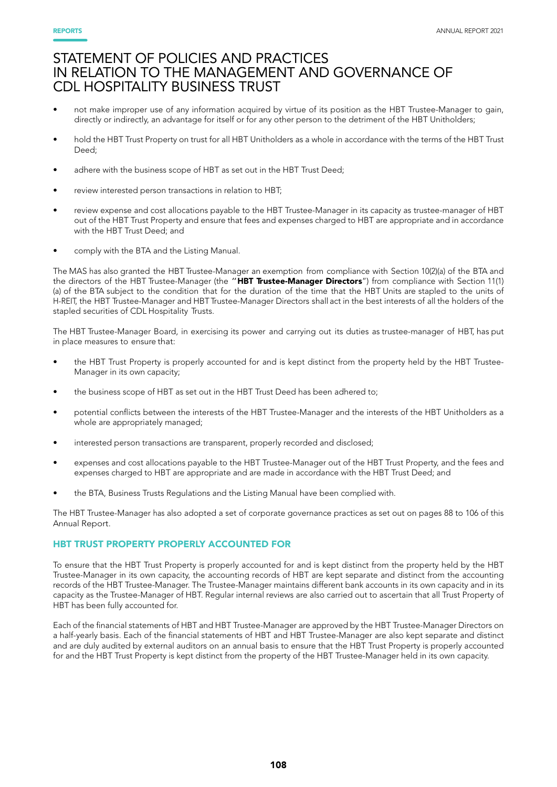- not make improper use of any information acquired by virtue of its position as the HBT Trustee-Manager to gain, directly or indirectly, an advantage for itself or for any other person to the detriment of the HBT Unitholders;
- hold the HBT Trust Property on trust for all HBT Unitholders as a whole in accordance with the terms of the HBT Trust Deed;
- adhere with the business scope of HBT as set out in the HBT Trust Deed;
- review interested person transactions in relation to HBT;
- review expense and cost allocations payable to the HBT Trustee-Manager in its capacity as trustee-manager of HBT out of the HBT Trust Property and ensure that fees and expenses charged to HBT are appropriate and in accordance with the HBT Trust Deed; and
- comply with the BTA and the Listing Manual.

The MAS has also granted the HBT Trustee-Manager an exemption from compliance with Section 10(2)(a) of the BTA and the directors of the HBT Trustee-Manager (the "HBT Trustee-Manager Directors") from compliance with Section 11(1) (a) of the BTA subject to the condition that for the duration of the time that the HBT Units are stapled to the units of H-REIT, the HBT Trustee-Manager and HBT Trustee-Manager Directors shall act in the best interests of all the holders of the stapled securities of CDL Hospitality Trusts.

The HBT Trustee-Manager Board, in exercising its power and carrying out its duties as trustee-manager of HBT, has put in place measures to ensure that:

- the HBT Trust Property is properly accounted for and is kept distinct from the property held by the HBT Trustee-Manager in its own capacity;
- the business scope of HBT as set out in the HBT Trust Deed has been adhered to;
- potential conflicts between the interests of the HBT Trustee-Manager and the interests of the HBT Unitholders as a whole are appropriately managed;
- interested person transactions are transparent, properly recorded and disclosed;
- expenses and cost allocations payable to the HBT Trustee-Manager out of the HBT Trust Property, and the fees and expenses charged to HBT are appropriate and are made in accordance with the HBT Trust Deed; and
- the BTA, Business Trusts Regulations and the Listing Manual have been complied with.

The HBT Trustee-Manager has also adopted a set of corporate governance practices as set out on pages 88 to 106 of this Annual Report.

#### HBT TRUST PROPERTY PROPERLY ACCOUNTED FOR

To ensure that the HBT Trust Property is properly accounted for and is kept distinct from the property held by the HBT Trustee-Manager in its own capacity, the accounting records of HBT are kept separate and distinct from the accounting records of the HBT Trustee-Manager. The Trustee-Manager maintains different bank accounts in its own capacity and in its capacity as the Trustee-Manager of HBT. Regular internal reviews are also carried out to ascertain that all Trust Property of HBT has been fully accounted for.

Each of the financial statements of HBT and HBT Trustee-Manager are approved by the HBT Trustee-Manager Directors on a half-yearly basis. Each of the financial statements of HBT and HBT Trustee-Manager are also kept separate and distinct and are duly audited by external auditors on an annual basis to ensure that the HBT Trust Property is properly accounted for and the HBT Trust Property is kept distinct from the property of the HBT Trustee-Manager held in its own capacity.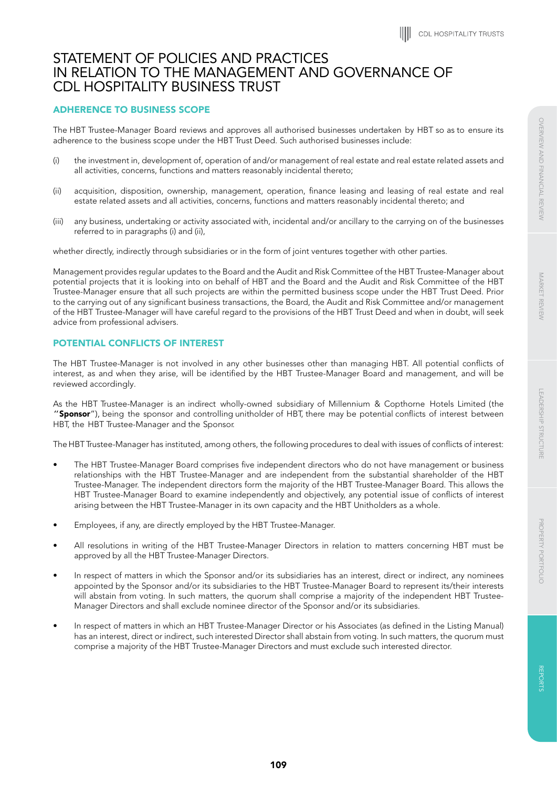### ADHERENCE TO BUSINESS SCOPE

The HBT Trustee-Manager Board reviews and approves all authorised businesses undertaken by HBT so as to ensure its adherence to the business scope under the HBT Trust Deed. Such authorised businesses include:

- (i) the investment in, development of, operation of and/or management of real estate and real estate related assets and all activities, concerns, functions and matters reasonably incidental thereto;
- (ii) acquisition, disposition, ownership, management, operation, finance leasing and leasing of real estate and real estate related assets and all activities, concerns, functions and matters reasonably incidental thereto; and
- (iii) any business, undertaking or activity associated with, incidental and/or ancillary to the carrying on of the businesses referred to in paragraphs (i) and (ii),

whether directly, indirectly through subsidiaries or in the form of joint ventures together with other parties.

Management provides regular updates to the Board and the Audit and Risk Committee of the HBT Trustee-Manager about potential projects that it is looking into on behalf of HBT and the Board and the Audit and Risk Committee of the HBT Trustee-Manager ensure that all such projects are within the permitted business scope under the HBT Trust Deed. Prior to the carrying out of any significant business transactions, the Board, the Audit and Risk Committee and/or management of the HBT Trustee-Manager will have careful regard to the provisions of the HBT Trust Deed and when in doubt, will seek advice from professional advisers.

### POTENTIAL CONFLICTS OF INTEREST

The HBT Trustee-Manager is not involved in any other businesses other than managing HBT. All potential conflicts of interest, as and when they arise, will be identified by the HBT Trustee-Manager Board and management, and will be reviewed accordingly.

As the HBT Trustee-Manager is an indirect wholly-owned subsidiary of Millennium & Copthorne Hotels Limited (the "Sponsor"), being the sponsor and controlling unitholder of HBT, there may be potential conflicts of interest between HBT, the HBT Trustee-Manager and the Sponsor.

The HBT Trustee-Manager has instituted, among others, the following procedures to deal with issues of conflicts of interest:

- The HBT Trustee-Manager Board comprises five independent directors who do not have management or business relationships with the HBT Trustee-Manager and are independent from the substantial shareholder of the HBT Trustee-Manager. The independent directors form the majority of the HBT Trustee-Manager Board. This allows the HBT Trustee-Manager Board to examine independently and objectively, any potential issue of conflicts of interest arising between the HBT Trustee-Manager in its own capacity and the HBT Unitholders as a whole.
- Employees, if any, are directly employed by the HBT Trustee-Manager.
- All resolutions in writing of the HBT Trustee-Manager Directors in relation to matters concerning HBT must be approved by all the HBT Trustee-Manager Directors.
- In respect of matters in which the Sponsor and/or its subsidiaries has an interest, direct or indirect, any nominees appointed by the Sponsor and/or its subsidiaries to the HBT Trustee-Manager Board to represent its/their interests will abstain from voting. In such matters, the quorum shall comprise a majority of the independent HBT Trustee-Manager Directors and shall exclude nominee director of the Sponsor and/or its subsidiaries.
- In respect of matters in which an HBT Trustee-Manager Director or his Associates (as defined in the Listing Manual) has an interest, direct or indirect, such interested Director shall abstain from voting. In such matters, the quorum must comprise a majority of the HBT Trustee-Manager Directors and must exclude such interested director.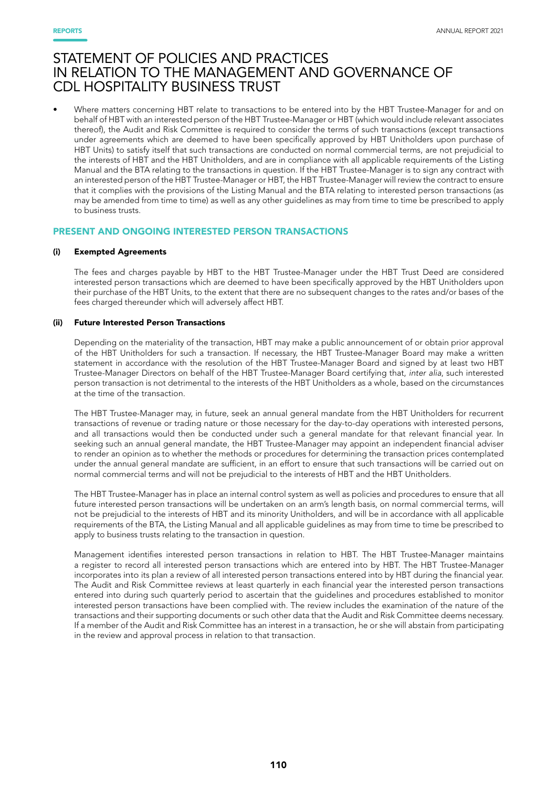• Where matters concerning HBT relate to transactions to be entered into by the HBT Trustee-Manager for and on behalf of HBT with an interested person of the HBT Trustee-Manager or HBT (which would include relevant associates thereof), the Audit and Risk Committee is required to consider the terms of such transactions (except transactions under agreements which are deemed to have been specifically approved by HBT Unitholders upon purchase of HBT Units) to satisfy itself that such transactions are conducted on normal commercial terms, are not prejudicial to the interests of HBT and the HBT Unitholders, and are in compliance with all applicable requirements of the Listing Manual and the BTA relating to the transactions in question. If the HBT Trustee-Manager is to sign any contract with an interested person of the HBT Trustee-Manager or HBT, the HBT Trustee-Manager will review the contract to ensure that it complies with the provisions of the Listing Manual and the BTA relating to interested person transactions (as may be amended from time to time) as well as any other guidelines as may from time to time be prescribed to apply to business trusts.

#### PRESENT AND ONGOING INTERESTED PERSON TRANSACTIONS

#### (i) Exempted Agreements

The fees and charges payable by HBT to the HBT Trustee-Manager under the HBT Trust Deed are considered interested person transactions which are deemed to have been specifically approved by the HBT Unitholders upon their purchase of the HBT Units, to the extent that there are no subsequent changes to the rates and/or bases of the fees charged thereunder which will adversely affect HBT.

#### (ii) Future Interested Person Transactions

Depending on the materiality of the transaction, HBT may make a public announcement of or obtain prior approval of the HBT Unitholders for such a transaction. If necessary, the HBT Trustee-Manager Board may make a written statement in accordance with the resolution of the HBT Trustee-Manager Board and signed by at least two HBT Trustee-Manager Directors on behalf of the HBT Trustee-Manager Board certifying that, *inter alia*, such interested person transaction is not detrimental to the interests of the HBT Unitholders as a whole, based on the circumstances at the time of the transaction.

The HBT Trustee-Manager may, in future, seek an annual general mandate from the HBT Unitholders for recurrent transactions of revenue or trading nature or those necessary for the day-to-day operations with interested persons, and all transactions would then be conducted under such a general mandate for that relevant financial year. In seeking such an annual general mandate, the HBT Trustee-Manager may appoint an independent financial adviser to render an opinion as to whether the methods or procedures for determining the transaction prices contemplated under the annual general mandate are sufficient, in an effort to ensure that such transactions will be carried out on normal commercial terms and will not be prejudicial to the interests of HBT and the HBT Unitholders.

The HBT Trustee-Manager has in place an internal control system as well as policies and procedures to ensure that all future interested person transactions will be undertaken on an arm's length basis, on normal commercial terms, will not be prejudicial to the interests of HBT and its minority Unitholders, and will be in accordance with all applicable requirements of the BTA, the Listing Manual and all applicable guidelines as may from time to time be prescribed to apply to business trusts relating to the transaction in question.

Management identifies interested person transactions in relation to HBT. The HBT Trustee-Manager maintains a register to record all interested person transactions which are entered into by HBT. The HBT Trustee-Manager incorporates into its plan a review of all interested person transactions entered into by HBT during the financial year. The Audit and Risk Committee reviews at least quarterly in each financial year the interested person transactions entered into during such quarterly period to ascertain that the guidelines and procedures established to monitor interested person transactions have been complied with. The review includes the examination of the nature of the transactions and their supporting documents or such other data that the Audit and Risk Committee deems necessary. If a member of the Audit and Risk Committee has an interest in a transaction, he or she will abstain from participating in the review and approval process in relation to that transaction.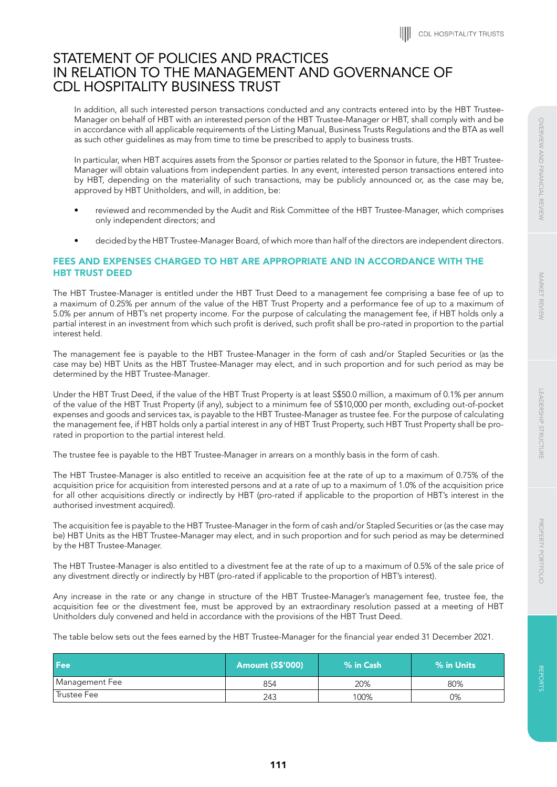In addition, all such interested person transactions conducted and any contracts entered into by the HBT Trustee-Manager on behalf of HBT with an interested person of the HBT Trustee-Manager or HBT, shall comply with and be in accordance with all applicable requirements of the Listing Manual, Business Trusts Regulations and the BTA as well as such other guidelines as may from time to time be prescribed to apply to business trusts.

In particular, when HBT acquires assets from the Sponsor or parties related to the Sponsor in future, the HBT Trustee-Manager will obtain valuations from independent parties. In any event, interested person transactions entered into by HBT, depending on the materiality of such transactions, may be publicly announced or, as the case may be, approved by HBT Unitholders, and will, in addition, be:

- reviewed and recommended by the Audit and Risk Committee of the HBT Trustee-Manager, which comprises only independent directors; and
- decided by the HBT Trustee-Manager Board, of which more than half of the directors are independent directors.

### FEES AND EXPENSES CHARGED TO HBT ARE APPROPRIATE AND IN ACCORDANCE WITH THE HBT TRUST DEED

The HBT Trustee-Manager is entitled under the HBT Trust Deed to a management fee comprising a base fee of up to a maximum of 0.25% per annum of the value of the HBT Trust Property and a performance fee of up to a maximum of 5.0% per annum of HBT's net property income. For the purpose of calculating the management fee, if HBT holds only a partial interest in an investment from which such profit is derived, such profit shall be pro-rated in proportion to the partial interest held.

The management fee is payable to the HBT Trustee-Manager in the form of cash and/or Stapled Securities or (as the case may be) HBT Units as the HBT Trustee-Manager may elect, and in such proportion and for such period as may be determined by the HBT Trustee-Manager.

Under the HBT Trust Deed, if the value of the HBT Trust Property is at least S\$50.0 million, a maximum of 0.1% per annum of the value of the HBT Trust Property (if any), subject to a minimum fee of S\$10,000 per month, excluding out-of-pocket expenses and goods and services tax, is payable to the HBT Trustee-Manager as trustee fee. For the purpose of calculating the management fee, if HBT holds only a partial interest in any of HBT Trust Property, such HBT Trust Property shall be prorated in proportion to the partial interest held.

The trustee fee is payable to the HBT Trustee-Manager in arrears on a monthly basis in the form of cash.

The HBT Trustee-Manager is also entitled to receive an acquisition fee at the rate of up to a maximum of 0.75% of the acquisition price for acquisition from interested persons and at a rate of up to a maximum of 1.0% of the acquisition price for all other acquisitions directly or indirectly by HBT (pro-rated if applicable to the proportion of HBT's interest in the authorised investment acquired).

The acquisition fee is payable to the HBT Trustee-Manager in the form of cash and/or Stapled Securities or (as the case may be) HBT Units as the HBT Trustee-Manager may elect, and in such proportion and for such period as may be determined by the HBT Trustee-Manager.

The HBT Trustee-Manager is also entitled to a divestment fee at the rate of up to a maximum of 0.5% of the sale price of any divestment directly or indirectly by HBT (pro-rated if applicable to the proportion of HBT's interest).

Any increase in the rate or any change in structure of the HBT Trustee-Manager's management fee, trustee fee, the acquisition fee or the divestment fee, must be approved by an extraordinary resolution passed at a meeting of HBT Unitholders duly convened and held in accordance with the provisions of the HBT Trust Deed.

The table below sets out the fees earned by the HBT Trustee-Manager for the financial year ended 31 December 2021.

| <b>Fee</b>     | <b>Amount (S\$'000)</b> | % in Cash | % in Units |
|----------------|-------------------------|-----------|------------|
| Management Fee | 854                     | 20%       | 80%        |
| Trustee Fee    | 243                     | 100%      | 0%         |